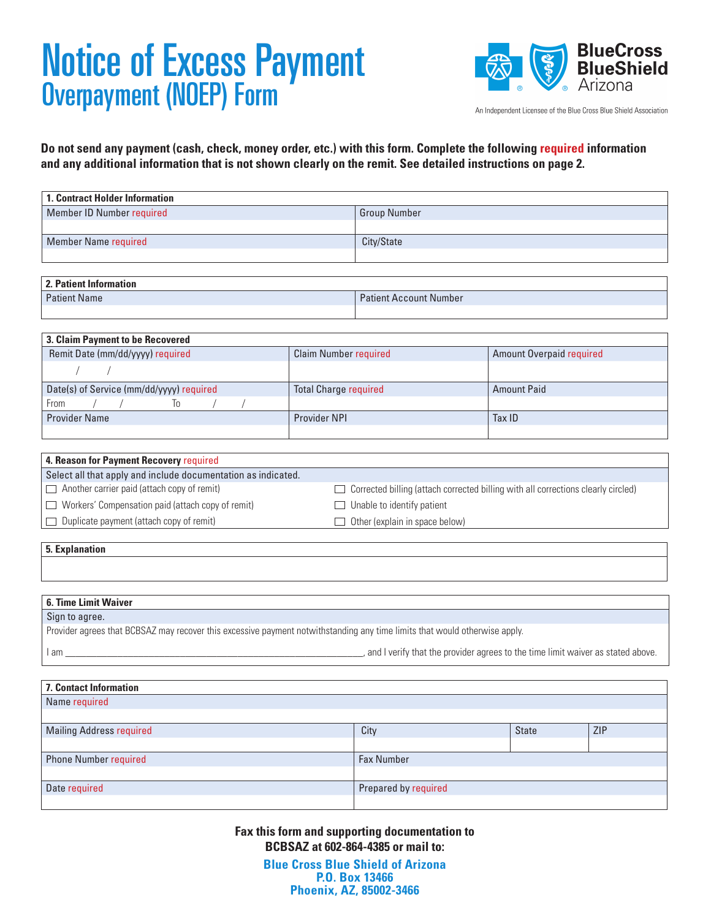# Notice of Excess Payment Overpayment (NOEP) Form



An Independent Licensee of the Blue Cross Blue Shield Association

**Do not send any payment (cash, check, money order, etc.) with this form. Complete the following required information and any additional information that is not shown clearly on the remit. See detailed instructions on page 2.**

| 1. Contract Holder Information |                     |  |
|--------------------------------|---------------------|--|
| Member ID Number required      | <b>Group Number</b> |  |
|                                |                     |  |
| <b>Member Name required</b>    | City/State          |  |
|                                |                     |  |

| 2. Patient Informat |
|---------------------|
|---------------------|

| 2. Patient Information |                               |  |
|------------------------|-------------------------------|--|
| <b>Patient Name</b>    | <b>Patient Account Number</b> |  |
|                        |                               |  |

| <b>3. Claim Payment to be Recovered</b>  |                              |                                 |  |  |  |  |
|------------------------------------------|------------------------------|---------------------------------|--|--|--|--|
| Remit Date (mm/dd/yyyy) required         | <b>Claim Number required</b> | <b>Amount Overpaid required</b> |  |  |  |  |
|                                          |                              |                                 |  |  |  |  |
| Date(s) of Service (mm/dd/yyyy) required | <b>Total Charge required</b> | <b>Amount Paid</b>              |  |  |  |  |
| From<br>10                               |                              |                                 |  |  |  |  |
| <b>Provider Name</b>                     | <b>Provider NPI</b>          | Tax ID                          |  |  |  |  |
|                                          |                              |                                 |  |  |  |  |

| 4. Reason for Payment Recovery required                       |                                                                                          |
|---------------------------------------------------------------|------------------------------------------------------------------------------------------|
| Select all that apply and include documentation as indicated. |                                                                                          |
| $\Box$ Another carrier paid (attach copy of remit)            | $\Box$ Corrected billing (attach corrected billing with all corrections clearly circled) |
| $\Box$ Workers' Compensation paid (attach copy of remit)      | $\Box$ Unable to identify patient                                                        |
| $\Box$ Duplicate payment (attach copy of remit)               | 1 Other (explain in space below)                                                         |
|                                                               |                                                                                          |

**5. Explanation**

#### **6. Time Limit Waiver**

| Sign to agree.                                                                                                             |                                                                                   |
|----------------------------------------------------------------------------------------------------------------------------|-----------------------------------------------------------------------------------|
| Provider agrees that BCBSAZ may recover this excessive payment notwithstanding any time limits that would otherwise apply. |                                                                                   |
| I am                                                                                                                       | , and I verify that the provider agrees to the time limit waiver as stated above. |

| <b>7. Contact Information</b>   |                      |              |            |
|---------------------------------|----------------------|--------------|------------|
| Name required                   |                      |              |            |
|                                 |                      |              |            |
| <b>Mailing Address required</b> | City                 | <b>State</b> | <b>ZIP</b> |
|                                 |                      |              |            |
| <b>Phone Number required</b>    | <b>Fax Number</b>    |              |            |
|                                 |                      |              |            |
| Date required                   | Prepared by required |              |            |
|                                 |                      |              |            |

**Fax this form and supporting documentation to BCBSAZ at 602-864-4385 or mail to:**

> **Blue Cross Blue Shield of Arizona P.O. Box 13466 Phoenix, AZ, 85002-3466**